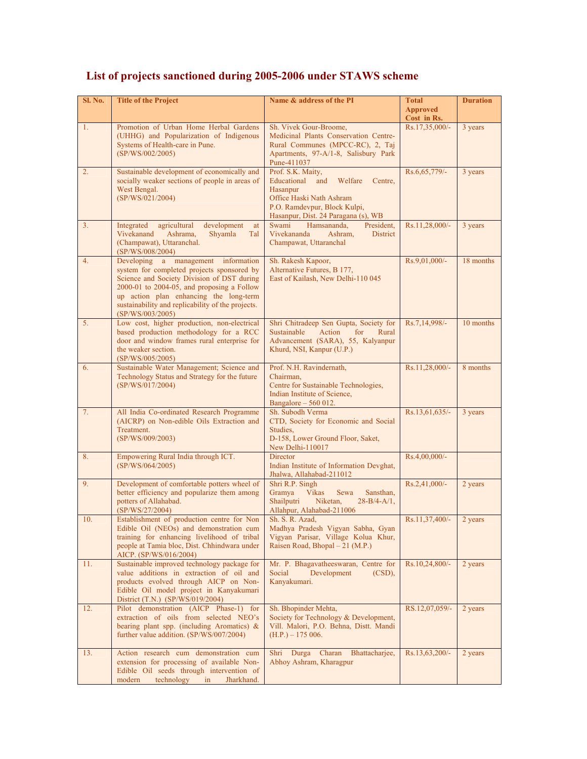| Sl. No. | <b>Title of the Project</b>                                                                                                                                                                                                                                                                      | Name & address of the PI                                                                                                                                                  | <b>Total</b><br><b>Approved</b><br>Cost in Rs. | <b>Duration</b> |
|---------|--------------------------------------------------------------------------------------------------------------------------------------------------------------------------------------------------------------------------------------------------------------------------------------------------|---------------------------------------------------------------------------------------------------------------------------------------------------------------------------|------------------------------------------------|-----------------|
| 1.      | Promotion of Urban Home Herbal Gardens<br>(UHHG) and Popularization of Indigenous<br>Systems of Health-care in Pune.<br>(SP/WS/002/2005)                                                                                                                                                         | Sh. Vivek Gour-Broome,<br>Medicinal Plants Conservation Centre-<br>Rural Communes (MPCC-RC), 2, Taj<br>Apartments, 97-A/1-8, Salisbury Park<br>Pune-411037                | Rs.17,35,000/-                                 | 3 years         |
| 2.      | Sustainable development of economically and<br>socially weaker sections of people in areas of<br>West Bengal.<br>(SP/WS/021/2004)                                                                                                                                                                | Prof. S.K. Maity,<br>Educational<br>and Welfare<br>Centre,<br>Hasanpur<br>Office Haski Nath Ashram<br>P.O. Ramdevpur, Block Kulpi,<br>Hasanpur, Dist. 24 Paragana (s), WB | Rs.6,65,779/-                                  | 3 years         |
| 3.      | development<br>Integrated<br>agricultural<br>at<br>Vivekanand<br>Ashrama,<br>Shyamla<br>Tal<br>(Champawat), Uttaranchal.<br>(SP/WS/008/2004)                                                                                                                                                     | Swami<br>Hamsananda.<br>President.<br>Vivekananda<br>Ashram,<br><b>District</b><br>Champawat, Uttaranchal                                                                 | Rs.11,28,000/-                                 | 3 years         |
| 4.      | Developing a management information<br>system for completed projects sponsored by<br>Science and Society Division of DST during<br>2000-01 to 2004-05, and proposing a Follow<br>up action plan enhancing the long-term<br>sustainability and replicability of the projects.<br>(SP/WS/003/2005) | Sh. Rakesh Kapoor,<br>Alternative Futures, B 177,<br>East of Kailash, New Delhi-110 045                                                                                   | Rs.9,01,000/-                                  | 18 months       |
| 5.      | Low cost, higher production, non-electrical<br>based production methodology for a RCC<br>door and window frames rural enterprise for<br>the weaker section.<br>(SP/WS/005/2005)                                                                                                                  | Shri Chitradeep Sen Gupta, Society for<br>Sustainable<br>Action<br>for<br>Rural<br>Advancement (SARA), 55, Kalyanpur<br>Khurd, NSI, Kanpur (U.P.)                         | Rs.7,14,998/-                                  | 10 months       |
| 6.      | Sustainable Water Management; Science and<br>Technology Status and Strategy for the future<br>(SP/WS/017/2004)                                                                                                                                                                                   | Prof. N.H. Ravindernath,<br>Chairman,<br>Centre for Sustainable Technologies,<br>Indian Institute of Science,<br>Bangalore $-560012$ .                                    | Rs.11,28,000/-                                 | 8 months        |
| 7.      | All India Co-ordinated Research Programme<br>(AICRP) on Non-edible Oils Extraction and<br>Treatment.<br>(SP/WS/009/2003)                                                                                                                                                                         | Sh. Subodh Verma<br>CTD, Society for Economic and Social<br>Studies,<br>D-158, Lower Ground Floor, Saket,<br>New Delhi-110017                                             | Rs.13,61,635/-                                 | 3 years         |
| 8.      | Empowering Rural India through ICT.<br>(SP/WS/064/2005)                                                                                                                                                                                                                                          | Director<br>Indian Institute of Information Devghat,<br>Jhalwa, Allahabad-211012                                                                                          | Rs.4,00,000/-                                  |                 |
| 9.      | Development of comfortable potters wheel of<br>better efficiency and popularize them among<br>potters of Allahabad.<br>(SP/WS/27/2004)                                                                                                                                                           | Shri R.P. Singh<br>Gramya<br><b>Vikas</b><br>Sansthan,<br>Sewa<br>Shailputri<br>Niketan,<br>$28 - B/4 - A/1$ ,<br>Allahpur, Alahabad-211006                               | Rs.2,41,000/-                                  | 2 years         |
| 10.     | Establishment of production centre for Non<br>Edible Oil (NEOs) and demonstration cum<br>training for enhancing livelihood of tribal<br>people at Tamia bloc, Dist. Chhindwara under<br>AICP. (SP/WS/016/2004)                                                                                   | Sh. S. R. Azad,<br>Madhya Pradesh Vigyan Sabha, Gyan<br>Vigyan Parisar, Village Kolua Khur,<br>Raisen Road, Bhopal – 21 (M.P.)                                            | Rs.11,37,400/-                                 | 2 years         |
| 11.     | Sustainable improved technology package for<br>value additions in extraction of oil and<br>products evolved through AICP on Non-<br>Edible Oil model project in Kanyakumari<br>District (T.N.) (SP/WS/019/2004)                                                                                  | Mr. P. Bhagavatheeswaran, Centre for<br>Social<br>Development<br>$(CSD)$ ,<br>Kanyakumari.                                                                                | Rs.10,24,800/-                                 | 2 years         |
| 12.     | Pilot demonstration (AICP Phase-1) for<br>extraction of oils from selected NEO's<br>bearing plant spp. (including Aromatics) $\&$<br>further value addition. (SP/WS/007/2004)                                                                                                                    | Sh. Bhopinder Mehta,<br>Society for Technology & Development,<br>Vill. Malori, P.O. Behna, Distt. Mandi<br>$(H.P.) - 175006.$                                             | RS.12,07,059/-                                 | 2 years         |
| 13.     | Action research cum demonstration cum<br>extension for processing of available Non-<br>Edible Oil seeds through intervention of<br>modern<br>technology<br>Jharkhand.<br>in                                                                                                                      | Shri Durga Charan<br>Bhattacharjee,<br>Abhoy Ashram, Kharagpur                                                                                                            | Rs.13,63,200/-                                 | 2 years         |

## **List of projects sanctioned during 2005-2006 under STAWS scheme**